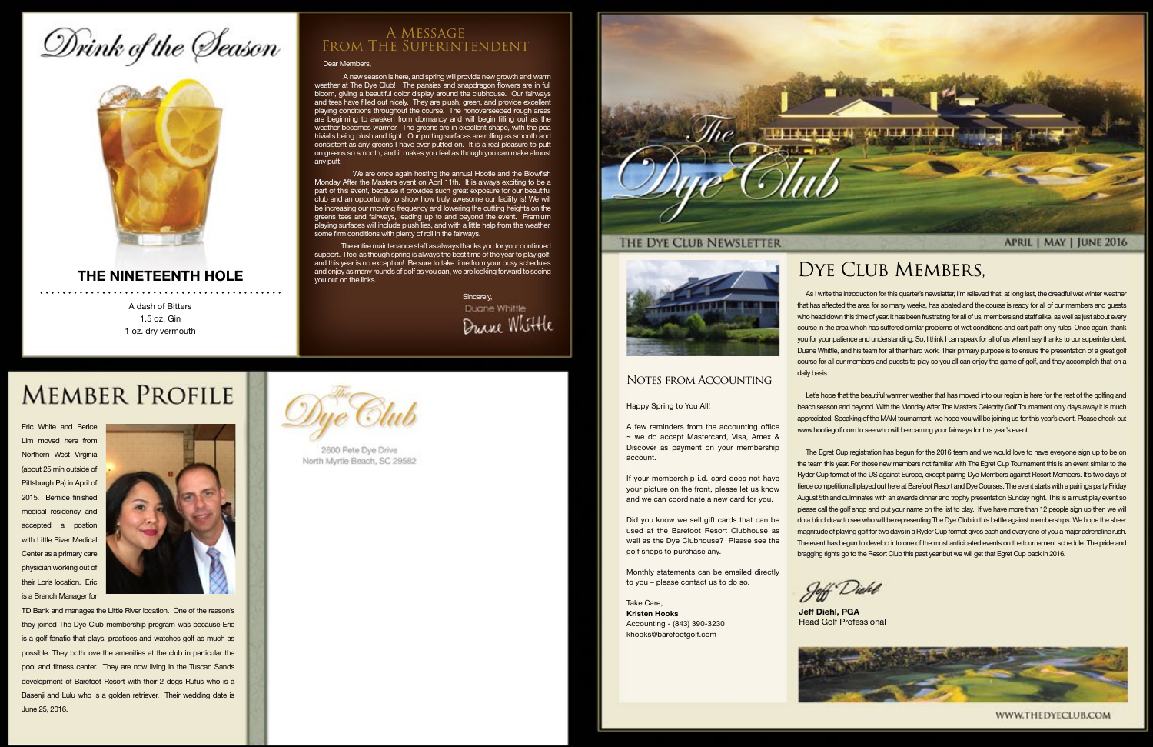# Drink of the Season



#### **THE NINETEENTH HOLE**

A dash of Bitters 1.5 oz. Gin 1 oz. dry vermouth

#### Dear Members,

 A new season is here, and spring will provide new growth and warm weather at The Dye Club! The pansies and snapdragon flowers are in full bloom, giving a beautiful color display around the clubhouse. Our fairways and tees have filled out nicely. They are plush, green, and provide excellent playing conditions throughout the course. The nonoverseeded rough areas are beginning to awaken from dormancy and will begin filling out as the weather becomes warmer. The greens are in excellent shape, with the poa trivialis being plush and tight. Our putting surfaces are rolling as smooth and consistent as any greens I have ever putted on. It is a real pleasure to putt on greens so smooth, and it makes you feel as though you can make almost any putt.

> Sincerely, Duane Whittle Durne Whittle

## **MEMBER PROFILE**

 We are once again hosting the annual Hootie and the Blowfish Monday After the Masters event on April 11th. It is always exciting to be a part of this event, because it provides such great exposure for our beautiful club and an opportunity to show how truly awesome our facility is! We will be increasing our mowing frequency and lowering the cutting heights on the greens tees and fairways, leading up to and beyond the event. Premium playing surfaces will include plush lies, and with a little help from the weather, some firm conditions with plenty of roll in the fairways.

 The entire maintenance staff as always thanks you for your continued support. I feel as though spring is always the best time of the year to play golf, and this year is no exception! Be sure to take time from your busy schedules and enjoy as many rounds of golf as you can, we are looking forward to seeing you out on the links.

#### A Message From The Superintendent

As I write the introduction for this quarter's newsletter, I'm relieved that, at long last, the dreadful wet winter weather that has affected the area for so many weeks, has abated and the course is ready for all of our members and guests who head down this time of year. It has been frustrating for all of us, members and staff alike, as well as just about every course in the area which has suffered similar problems of wet conditions and cart path only rules. Once again, thank you for your patience and understanding. So, I think I can speak for all of us when I say thanks to our superintendent, Duane Whittle, and his team for all their hard work. Their primary purpose is to ensure the presentation of a great golf course for all our members and guests to play so you all can enjoy the game of golf, and they accomplish that on a daily basis.

Let's hope that the beautiful warmer weather that has moved into our region is here for the rest of the golfing and beach season and beyond. With the Monday After The Masters Celebrity Golf Tournament only days away it is much appreciated. Speaking of the MAM tournament, we hope you will be joining us for this year's event. Please check out www.hootiegolf.com to see who will be roaming your fairways for this year's event.

The Egret Cup registration has begun for the 2016 team and we would love to have everyone sign up to be on the team this year. For those new members not familiar with The Egret Cup Tournament this is an event similar to the Ryder Cup format of the US against Europe, except pairing Dye Members against Resort Members. It's two days of fierce competition all played out here at Barefoot Resort and Dye Courses. The event starts with a pairings party Friday August 5th and culminates with an awards dinner and trophy presentation Sunday night. This is a must play event so please call the golf shop and put your name on the list to play. If we have more than 12 people sign up then we will do a blind draw to see who will be representing The Dye Club in this battle against memberships. We hope the sheer magnitude of playing golf for two days in a Ryder Cup format gives each and every one of you a major adrenaline rush. The event has begun to develop into one of the most anticipated events on the tournament schedule. The pride and bragging rights go to the Resort Club this past year but we will get that Egret Cup back in 2016.

Jeff Diehl

### DYE CLUB MEMBERS,

**Jeff Diehl, PGA** Head Golf Professional



WWW.THEDYECLUB.COM

#### Happy Spring to You All!

A few reminders from the accounting office ~ we do accept Mastercard, Visa, Amex & Discover as payment on your membership account.

If your membership i.d. card does not have your picture on the front, please let us know and we can coordinate a new card for you.

Did you know we sell gift cards that can be used at the Barefoot Resort Clubhouse as well as the Dye Clubhouse? Please see the golf shops to purchase any.

Monthly statements can be emailed directly to you – please contact us to do so.

Take Care, **Kristen Hooks** Accounting - (843) 390-3230 khooks@barefootgolf.com



Eric White and Berice Lim moved here from Northern West Virginia (about 25 min outside of Pittsburgh Pa) in April of 2015. Bernice finished medical residency and accepted a postion with Little River Medical Center as a primary care physician working out of their Loris location. Eric is a Branch Manager for



TD Bank and manages the Little River location. One of the reason's they joined The Dye Club membership program was because Eric is a golf fanatic that plays, practices and watches golf as much as possible. They both love the amenities at the club in particular the pool and fitness center. They are now living in the Tuscan Sands development of Barefoot Resort with their 2 dogs Rufus who is a Basenji and Lulu who is a golden retriever. Their wedding date is June 25, 2016.



2600 Pete Dye Drive North Myrtle Beach, SC 29582



#### THE DYE CLUB NEWSLETTER



#### NOTES FROM ACCOUNTING